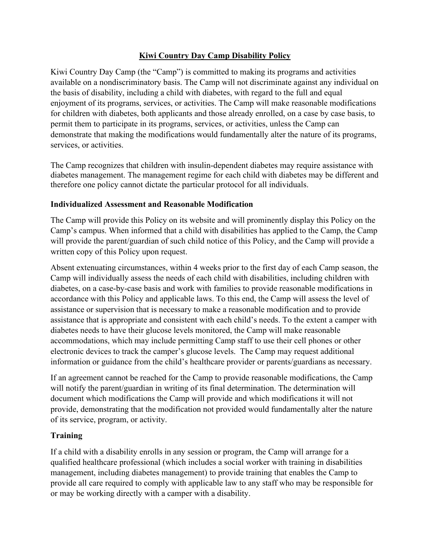## **Kiwi Country Day Camp Disability Policy**

Kiwi Country Day Camp (the "Camp") is committed to making its programs and activities available on a nondiscriminatory basis. The Camp will not discriminate against any individual on the basis of disability, including a child with diabetes, with regard to the full and equal enjoyment of its programs, services, or activities. The Camp will make reasonable modifications for children with diabetes, both applicants and those already enrolled, on a case by case basis, to permit them to participate in its programs, services, or activities, unless the Camp can demonstrate that making the modifications would fundamentally alter the nature of its programs, services, or activities.

The Camp recognizes that children with insulin-dependent diabetes may require assistance with diabetes management. The management regime for each child with diabetes may be different and therefore one policy cannot dictate the particular protocol for all individuals.

## **Individualized Assessment and Reasonable Modification**

The Camp will provide this Policy on its website and will prominently display this Policy on the Camp's campus. When informed that a child with disabilities has applied to the Camp, the Camp will provide the parent/guardian of such child notice of this Policy, and the Camp will provide a written copy of this Policy upon request.

Absent extenuating circumstances, within 4 weeks prior to the first day of each Camp season, the Camp will individually assess the needs of each child with disabilities, including children with diabetes, on a case-by-case basis and work with families to provide reasonable modifications in accordance with this Policy and applicable laws. To this end, the Camp will assess the level of assistance or supervision that is necessary to make a reasonable modification and to provide assistance that is appropriate and consistent with each child's needs. To the extent a camper with diabetes needs to have their glucose levels monitored, the Camp will make reasonable accommodations, which may include permitting Camp staff to use their cell phones or other electronic devices to track the camper's glucose levels. The Camp may request additional information or guidance from the child's healthcare provider or parents/guardians as necessary.

If an agreement cannot be reached for the Camp to provide reasonable modifications, the Camp will notify the parent/guardian in writing of its final determination. The determination will document which modifications the Camp will provide and which modifications it will not provide, demonstrating that the modification not provided would fundamentally alter the nature of its service, program, or activity.

## **Training**

If a child with a disability enrolls in any session or program, the Camp will arrange for a qualified healthcare professional (which includes a social worker with training in disabilities management, including diabetes management) to provide training that enables the Camp to provide all care required to comply with applicable law to any staff who may be responsible for or may be working directly with a camper with a disability.